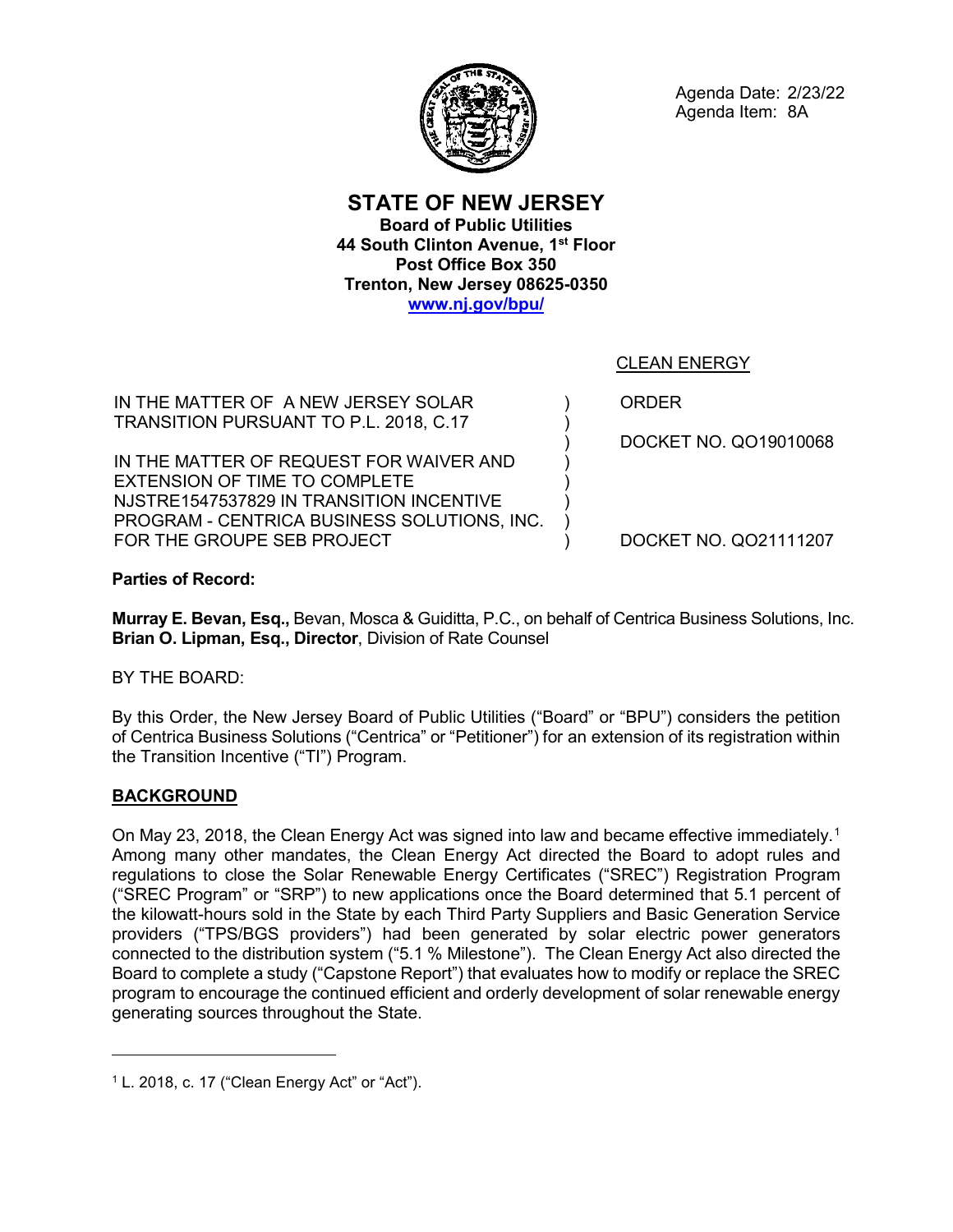

Agenda Date: 2/23/22 Agenda Item: 8A

**STATE OF NEW JERSEY Board of Public Utilities 44 South Clinton Avenue, 1st Floor Post Office Box 350 Trenton, New Jersey 08625-0350 [www.nj.gov/bpu/](http://www.nj.gov/bpu/)**

CLEAN ENERGY

ORDER

) ) ) ) ) ) ) )

DOCKET NO. QO19010068

IN THE MATTER OF A NEW JERSEY SOLAR TRANSITION PURSUANT TO P.L. 2018, C.17

IN THE MATTER OF REQUEST FOR WAIVER AND EXTENSION OF TIME TO COMPLETE NJSTRE1547537829 IN TRANSITION INCENTIVE PROGRAM - CENTRICA BUSINESS SOLUTIONS, INC. FOR THE GROUPE SEB PROJECT

DOCKET NO. QO21111207

### **Parties of Record:**

**Murray E. Bevan, Esq.,** Bevan, Mosca & Guiditta, P.C., on behalf of Centrica Business Solutions, Inc. **Brian O. Lipman, Esq., Director**, Division of Rate Counsel

BY THE BOARD:

By this Order, the New Jersey Board of Public Utilities ("Board" or "BPU") considers the petition of Centrica Business Solutions ("Centrica" or "Petitioner") for an extension of its registration within the Transition Incentive ("TI") Program.

# **BACKGROUND**

 $\overline{a}$ 

On May 23, 20[1](#page-0-0)8, the Clean Energy Act was signed into law and became effective immediately.<sup>1</sup> Among many other mandates, the Clean Energy Act directed the Board to adopt rules and regulations to close the Solar Renewable Energy Certificates ("SREC") Registration Program ("SREC Program" or "SRP") to new applications once the Board determined that 5.1 percent of the kilowatt-hours sold in the State by each Third Party Suppliers and Basic Generation Service providers ("TPS/BGS providers") had been generated by solar electric power generators connected to the distribution system ("5.1 % Milestone"). The Clean Energy Act also directed the Board to complete a study ("Capstone Report") that evaluates how to modify or replace the SREC program to encourage the continued efficient and orderly development of solar renewable energy generating sources throughout the State.

<span id="page-0-0"></span> $1$  L. 2018, c. 17 ("Clean Energy Act" or "Act").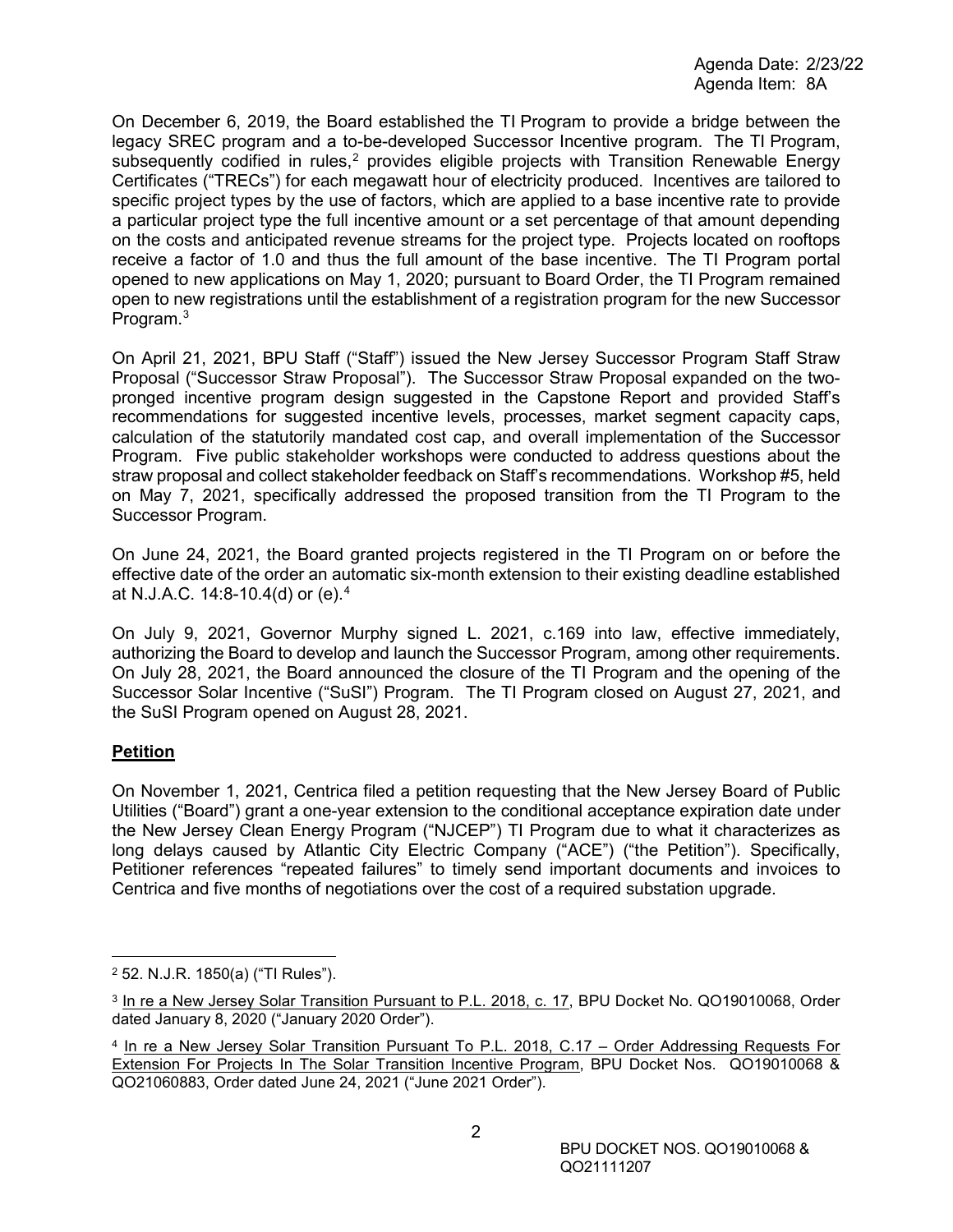On December 6, 2019, the Board established the TI Program to provide a bridge between the legacy SREC program and a to-be-developed Successor Incentive program. The TI Program, subsequently codified in rules,<sup>[2](#page-1-0)</sup> provides eligible projects with Transition Renewable Energy Certificates ("TRECs") for each megawatt hour of electricity produced. Incentives are tailored to specific project types by the use of factors, which are applied to a base incentive rate to provide a particular project type the full incentive amount or a set percentage of that amount depending on the costs and anticipated revenue streams for the project type. Projects located on rooftops receive a factor of 1.0 and thus the full amount of the base incentive. The TI Program portal opened to new applications on May 1, 2020; pursuant to Board Order, the TI Program remained open to new registrations until the establishment of a registration program for the new Successor Program.<sup>[3](#page-1-1)</sup>

On April 21, 2021, BPU Staff ("Staff") issued the New Jersey Successor Program Staff Straw Proposal ("Successor Straw Proposal"). The Successor Straw Proposal expanded on the twopronged incentive program design suggested in the Capstone Report and provided Staff's recommendations for suggested incentive levels, processes, market segment capacity caps, calculation of the statutorily mandated cost cap, and overall implementation of the Successor Program. Five public stakeholder workshops were conducted to address questions about the straw proposal and collect stakeholder feedback on Staff's recommendations. Workshop #5, held on May 7, 2021, specifically addressed the proposed transition from the TI Program to the Successor Program.

On June 24, 2021, the Board granted projects registered in the TI Program on or before the effective date of the order an automatic six-month extension to their existing deadline established at N.J.A.C. 14:8-10.4(d) or (e).[4](#page-1-2)

On July 9, 2021, Governor Murphy signed L. 2021, c.169 into law, effective immediately, authorizing the Board to develop and launch the Successor Program, among other requirements. On July 28, 2021, the Board announced the closure of the TI Program and the opening of the Successor Solar Incentive ("SuSI") Program. The TI Program closed on August 27, 2021, and the SuSI Program opened on August 28, 2021.

#### **Petition**

On November 1, 2021, Centrica filed a petition requesting that the New Jersey Board of Public Utilities ("Board") grant a one-year extension to the conditional acceptance expiration date under the New Jersey Clean Energy Program ("NJCEP") TI Program due to what it characterizes as long delays caused by Atlantic City Electric Company ("ACE") ("the Petition"). Specifically, Petitioner references "repeated failures" to timely send important documents and invoices to Centrica and five months of negotiations over the cost of a required substation upgrade.

<span id="page-1-0"></span> <sup>2</sup> 52. N.J.R. 1850(a) ("TI Rules").

<span id="page-1-1"></span><sup>3</sup> In re a New Jersey Solar Transition Pursuant to P.L. 2018, c. 17, BPU Docket No. QO19010068, Order dated January 8, 2020 ("January 2020 Order").

<span id="page-1-2"></span><sup>4</sup> In re a New Jersey Solar Transition Pursuant To P.L. 2018, C.17 – Order Addressing Requests For Extension For Projects In The Solar Transition Incentive Program, BPU Docket Nos. QO19010068 & QO21060883, Order dated June 24, 2021 ("June 2021 Order").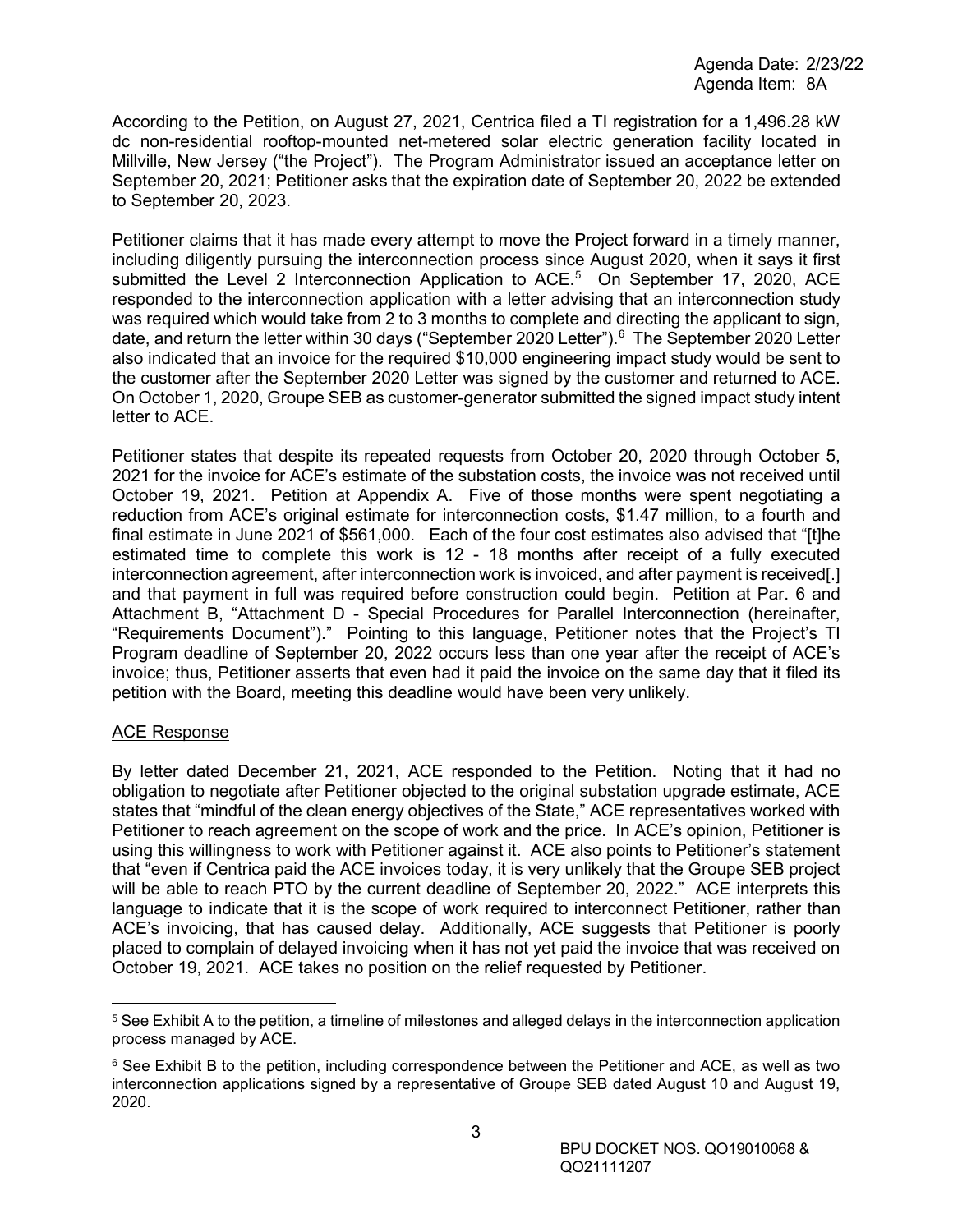According to the Petition, on August 27, 2021, Centrica filed a TI registration for a 1,496.28 kW dc non-residential rooftop-mounted net-metered solar electric generation facility located in Millville, New Jersey ("the Project"). The Program Administrator issued an acceptance letter on September 20, 2021; Petitioner asks that the expiration date of September 20, 2022 be extended to September 20, 2023.

Petitioner claims that it has made every attempt to move the Project forward in a timely manner, including diligently pursuing the interconnection process since August 2020, when it says it first submitted the Level 2 Interconnection Application to ACE.<sup>[5](#page-2-0)</sup> On September 17, 2020, ACE responded to the interconnection application with a letter advising that an interconnection study was required which would take from 2 to 3 months to complete and directing the applicant to sign, date, and return the letter within 30 days ("September 2020 Letter"). [6](#page-2-1) The September 2020 Letter also indicated that an invoice for the required \$10,000 engineering impact study would be sent to the customer after the September 2020 Letter was signed by the customer and returned to ACE. On October 1, 2020, Groupe SEB as customer-generator submitted the signed impact study intent letter to ACE.

Petitioner states that despite its repeated requests from October 20, 2020 through October 5, 2021 for the invoice for ACE's estimate of the substation costs, the invoice was not received until October 19, 2021. Petition at Appendix A. Five of those months were spent negotiating a reduction from ACE's original estimate for interconnection costs, \$1.47 million, to a fourth and final estimate in June 2021 of \$561,000. Each of the four cost estimates also advised that "[t]he estimated time to complete this work is 12 - 18 months after receipt of a fully executed interconnection agreement, after interconnection work is invoiced, and after payment is received[.] and that payment in full was required before construction could begin. Petition at Par. 6 and Attachment B, "Attachment D - Special Procedures for Parallel Interconnection (hereinafter, "Requirements Document")." Pointing to this language, Petitioner notes that the Project's TI Program deadline of September 20, 2022 occurs less than one year after the receipt of ACE's invoice; thus, Petitioner asserts that even had it paid the invoice on the same day that it filed its petition with the Board, meeting this deadline would have been very unlikely.

#### ACE Response

By letter dated December 21, 2021, ACE responded to the Petition. Noting that it had no obligation to negotiate after Petitioner objected to the original substation upgrade estimate, ACE states that "mindful of the clean energy objectives of the State," ACE representatives worked with Petitioner to reach agreement on the scope of work and the price. In ACE's opinion, Petitioner is using this willingness to work with Petitioner against it. ACE also points to Petitioner's statement that "even if Centrica paid the ACE invoices today, it is very unlikely that the Groupe SEB project will be able to reach PTO by the current deadline of September 20, 2022." ACE interprets this language to indicate that it is the scope of work required to interconnect Petitioner, rather than ACE's invoicing, that has caused delay. Additionally, ACE suggests that Petitioner is poorly placed to complain of delayed invoicing when it has not yet paid the invoice that was received on October 19, 2021. ACE takes no position on the relief requested by Petitioner.

<span id="page-2-0"></span> $5$  See Exhibit A to the petition, a timeline of milestones and alleged delays in the interconnection application process managed by ACE.

<span id="page-2-1"></span><sup>&</sup>lt;sup>6</sup> See Exhibit B to the petition, including correspondence between the Petitioner and ACE, as well as two interconnection applications signed by a representative of Groupe SEB dated August 10 and August 19, 2020.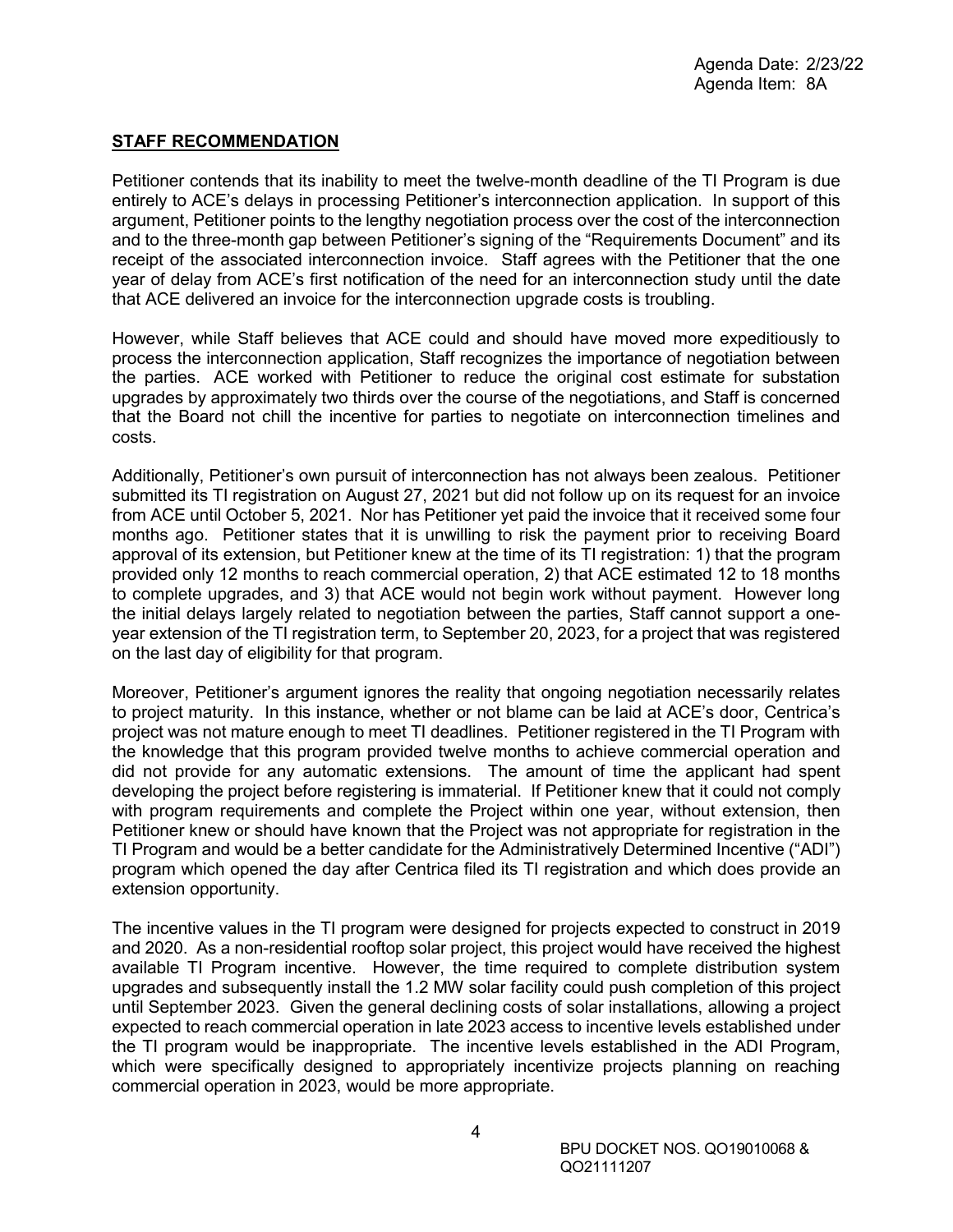### **STAFF RECOMMENDATION**

Petitioner contends that its inability to meet the twelve-month deadline of the TI Program is due entirely to ACE's delays in processing Petitioner's interconnection application. In support of this argument, Petitioner points to the lengthy negotiation process over the cost of the interconnection and to the three-month gap between Petitioner's signing of the "Requirements Document" and its receipt of the associated interconnection invoice. Staff agrees with the Petitioner that the one year of delay from ACE's first notification of the need for an interconnection study until the date that ACE delivered an invoice for the interconnection upgrade costs is troubling.

However, while Staff believes that ACE could and should have moved more expeditiously to process the interconnection application, Staff recognizes the importance of negotiation between the parties. ACE worked with Petitioner to reduce the original cost estimate for substation upgrades by approximately two thirds over the course of the negotiations, and Staff is concerned that the Board not chill the incentive for parties to negotiate on interconnection timelines and costs.

Additionally, Petitioner's own pursuit of interconnection has not always been zealous. Petitioner submitted its TI registration on August 27, 2021 but did not follow up on its request for an invoice from ACE until October 5, 2021. Nor has Petitioner yet paid the invoice that it received some four months ago. Petitioner states that it is unwilling to risk the payment prior to receiving Board approval of its extension, but Petitioner knew at the time of its TI registration: 1) that the program provided only 12 months to reach commercial operation, 2) that ACE estimated 12 to 18 months to complete upgrades, and 3) that ACE would not begin work without payment. However long the initial delays largely related to negotiation between the parties, Staff cannot support a oneyear extension of the TI registration term, to September 20, 2023, for a project that was registered on the last day of eligibility for that program.

Moreover, Petitioner's argument ignores the reality that ongoing negotiation necessarily relates to project maturity. In this instance, whether or not blame can be laid at ACE's door, Centrica's project was not mature enough to meet TI deadlines. Petitioner registered in the TI Program with the knowledge that this program provided twelve months to achieve commercial operation and did not provide for any automatic extensions. The amount of time the applicant had spent developing the project before registering is immaterial. If Petitioner knew that it could not comply with program requirements and complete the Project within one year, without extension, then Petitioner knew or should have known that the Project was not appropriate for registration in the TI Program and would be a better candidate for the Administratively Determined Incentive ("ADI") program which opened the day after Centrica filed its TI registration and which does provide an extension opportunity.

The incentive values in the TI program were designed for projects expected to construct in 2019 and 2020. As a non-residential rooftop solar project, this project would have received the highest available TI Program incentive. However, the time required to complete distribution system upgrades and subsequently install the 1.2 MW solar facility could push completion of this project until September 2023. Given the general declining costs of solar installations, allowing a project expected to reach commercial operation in late 2023 access to incentive levels established under the TI program would be inappropriate. The incentive levels established in the ADI Program, which were specifically designed to appropriately incentivize projects planning on reaching commercial operation in 2023, would be more appropriate.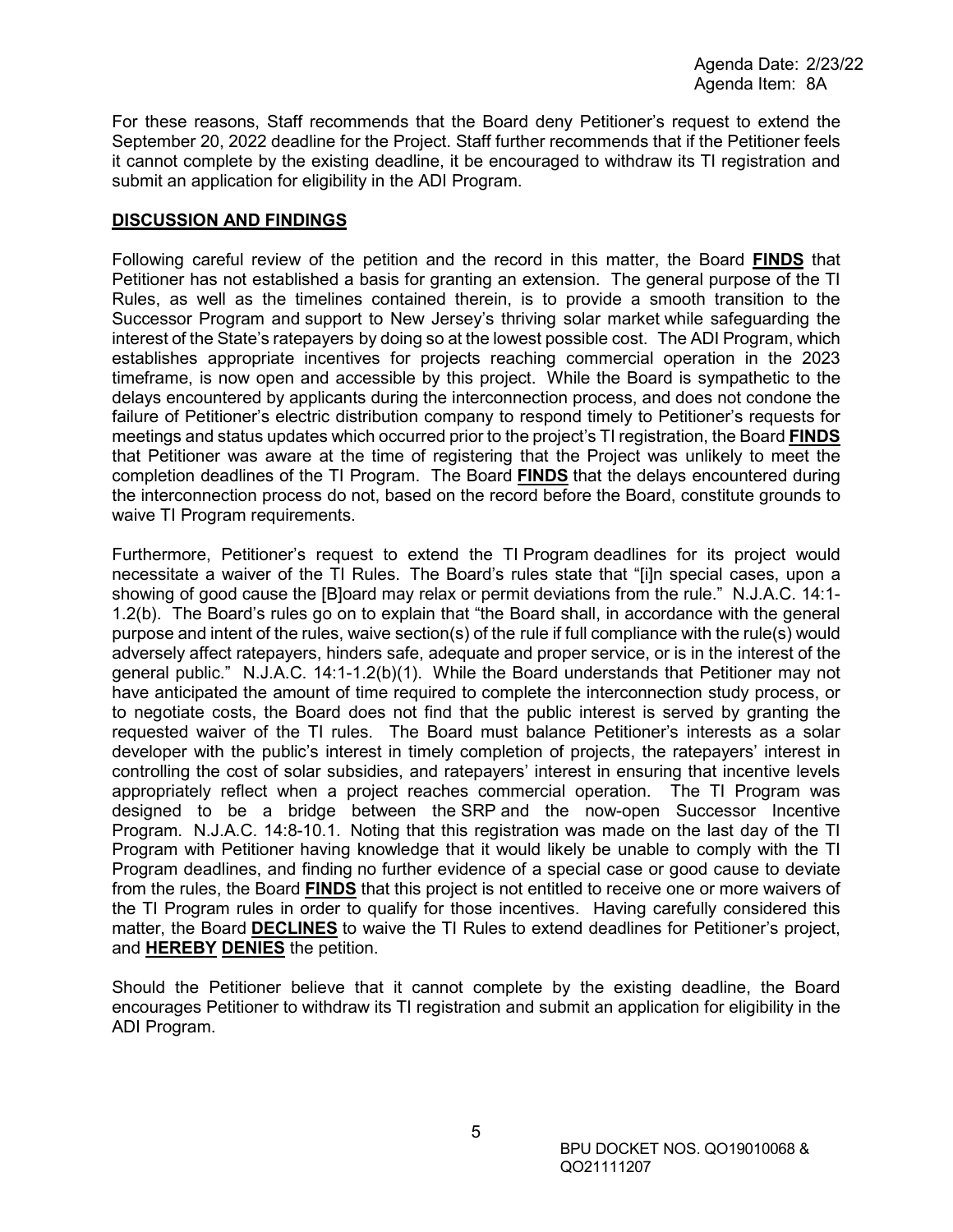Agenda Date: 2/23/22 Agenda Item: 8A

For these reasons, Staff recommends that the Board deny Petitioner's request to extend the September 20, 2022 deadline for the Project. Staff further recommends that if the Petitioner feels it cannot complete by the existing deadline, it be encouraged to withdraw its TI registration and submit an application for eligibility in the ADI Program.

#### **DISCUSSION AND FINDINGS**

Following careful review of the petition and the record in this matter, the Board **FINDS** that Petitioner has not established a basis for granting an extension. The general purpose of the TI Rules, as well as the timelines contained therein, is to provide a smooth transition to the Successor Program and support to New Jersey's thriving solar market while safeguarding the interest of the State's ratepayers by doing so at the lowest possible cost. The ADI Program, which establishes appropriate incentives for projects reaching commercial operation in the 2023 timeframe, is now open and accessible by this project. While the Board is sympathetic to the delays encountered by applicants during the interconnection process, and does not condone the failure of Petitioner's electric distribution company to respond timely to Petitioner's requests for meetings and status updates which occurred prior to the project's TI registration, the Board **FINDS** that Petitioner was aware at the time of registering that the Project was unlikely to meet the completion deadlines of the TI Program. The Board **FINDS** that the delays encountered during the interconnection process do not, based on the record before the Board, constitute grounds to waive TI Program requirements.

Furthermore, Petitioner's request to extend the TI Program deadlines for its project would necessitate a waiver of the TI Rules. The Board's rules state that "[i]n special cases, upon a showing of good cause the [B]oard may relax or permit deviations from the rule." N.J.A.C. 14:1- 1.2(b). The Board's rules go on to explain that "the Board shall, in accordance with the general purpose and intent of the rules, waive section(s) of the rule if full compliance with the rule(s) would adversely affect ratepayers, hinders safe, adequate and proper service, or is in the interest of the general public." N.J.A.C. 14:1-1.2(b)(1). While the Board understands that Petitioner may not have anticipated the amount of time required to complete the interconnection study process, or to negotiate costs, the Board does not find that the public interest is served by granting the requested waiver of the TI rules. The Board must balance Petitioner's interests as a solar developer with the public's interest in timely completion of projects, the ratepayers' interest in controlling the cost of solar subsidies, and ratepayers' interest in ensuring that incentive levels appropriately reflect when a project reaches commercial operation. The TI Program was designed to be a bridge between the SRP and the now-open Successor Incentive Program. N.J.A.C. 14:8-10.1. Noting that this registration was made on the last day of the TI Program with Petitioner having knowledge that it would likely be unable to comply with the TI Program deadlines, and finding no further evidence of a special case or good cause to deviate from the rules, the Board **FINDS** that this project is not entitled to receive one or more waivers of the TI Program rules in order to qualify for those incentives. Having carefully considered this matter, the Board **DECLINES** to waive the TI Rules to extend deadlines for Petitioner's project, and **HEREBY DENIES** the petition.

Should the Petitioner believe that it cannot complete by the existing deadline, the Board encourages Petitioner to withdraw its TI registration and submit an application for eligibility in the ADI Program.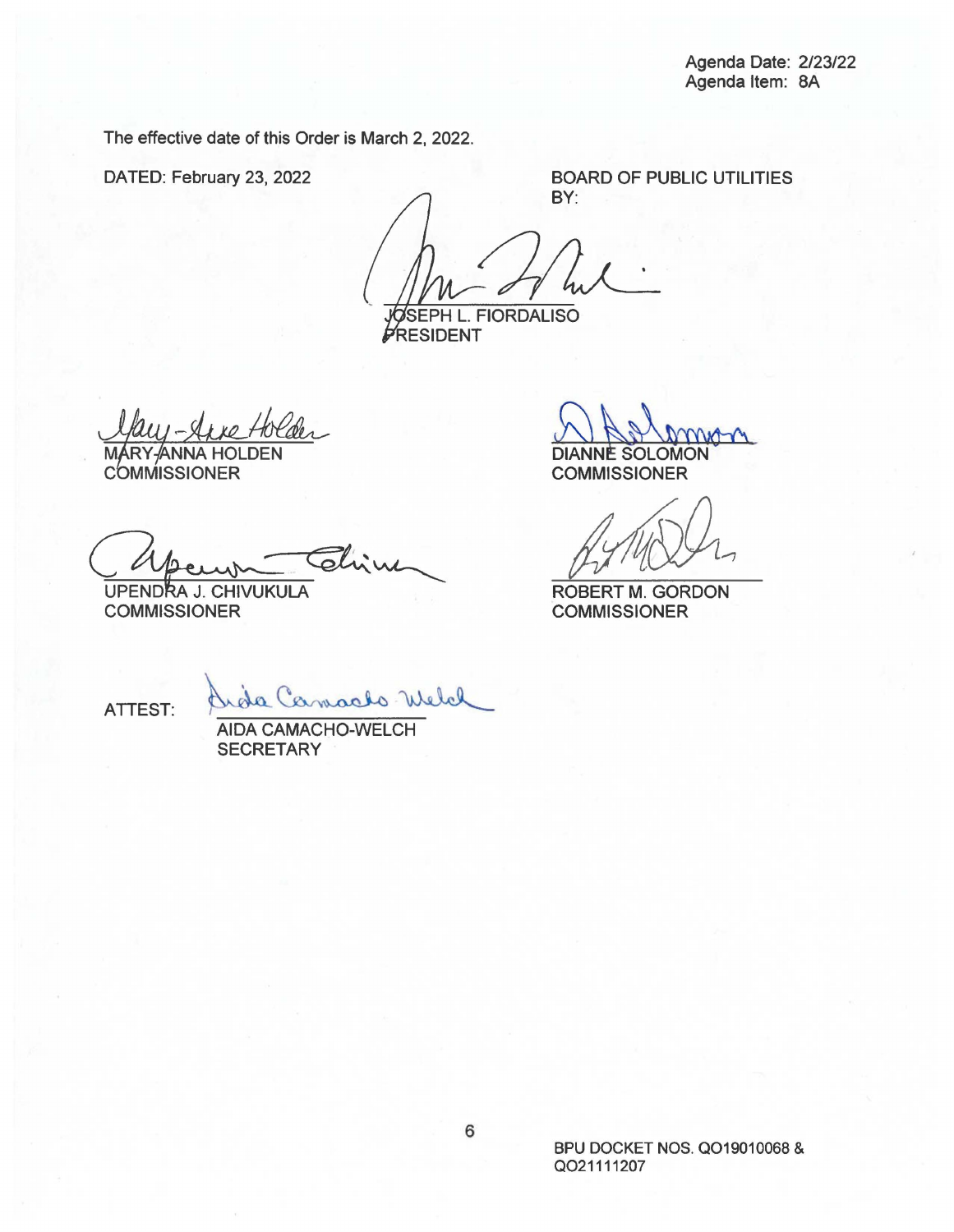The effective date of this Order is March 2, 2022.

DATED: February 23, 2022

BOARD OF PUBLIC UTILITIES BY:

**GSEPH L. FIORDALISO** 

**PRESIDENT** 

 $Holeder$ ÁRY-⁄ANNA HOLDEN M,

**COMMISSIONER** 

Offender China

COMMISSIONER

DIANNE SOLOMON **COMMISSIONER** 

ROBERT M. GORDON

**COMMISSIONER** 

ATTEST: Andre Camarlo Welch

**SECRETARY**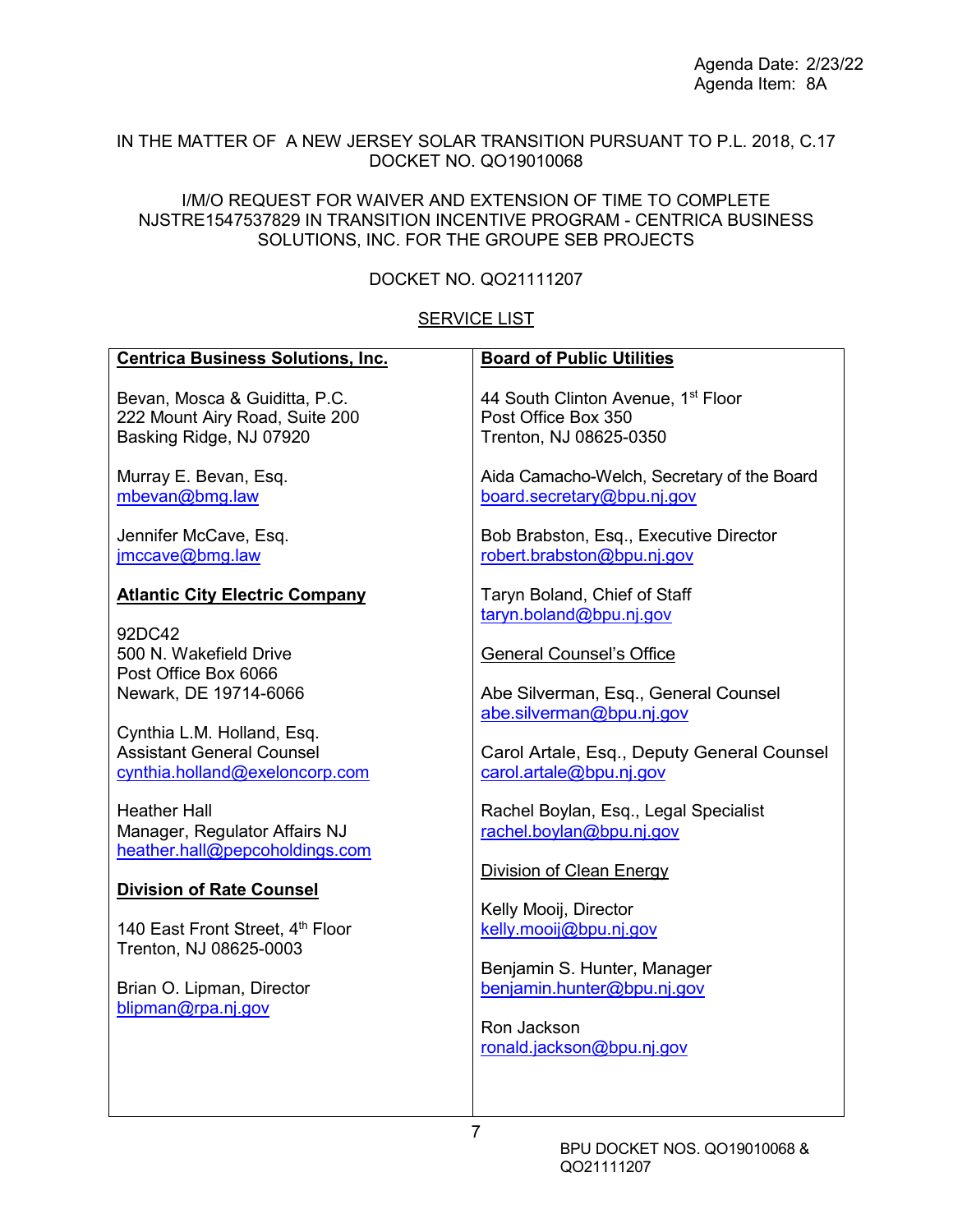#### IN THE MATTER OF A NEW JERSEY SOLAR TRANSITION PURSUANT TO P.L. 2018, C.17 DOCKET NO. QO19010068

#### I/M/O REQUEST FOR WAIVER AND EXTENSION OF TIME TO COMPLETE NJSTRE1547537829 IN TRANSITION INCENTIVE PROGRAM - CENTRICA BUSINESS SOLUTIONS, INC. FOR THE GROUPE SEB PROJECTS

# DOCKET NO. QO21111207

#### **SERVICE LIST**

| <b>Centrica Business Solutions, Inc.</b> | <b>Board of Public Utilities</b>                                 |
|------------------------------------------|------------------------------------------------------------------|
| Bevan, Mosca & Guiditta, P.C.            | 44 South Clinton Avenue, 1 <sup>st</sup> Floor                   |
| 222 Mount Airy Road, Suite 200           | Post Office Box 350                                              |
| Basking Ridge, NJ 07920                  | Trenton, NJ 08625-0350                                           |
| Murray E. Bevan, Esq.                    | Aida Camacho-Welch, Secretary of the Board                       |
| mbevan@bmg.law                           | board.secretary@bpu.nj.gov                                       |
| Jennifer McCave, Esq.                    | Bob Brabston, Esq., Executive Director                           |
| jmccave@bmg.law                          | robert.brabston@bpu.nj.gov                                       |
| <b>Atlantic City Electric Company</b>    | Taryn Boland, Chief of Staff                                     |
| 92DC42                                   | taryn.boland@bpu.nj.gov                                          |
| 500 N. Wakefield Drive                   | <b>General Counsel's Office</b>                                  |
| Post Office Box 6066                     |                                                                  |
| Newark, DE 19714-6066                    | Abe Silverman, Esq., General Counsel<br>abe.silverman@bpu.nj.gov |
| Cynthia L.M. Holland, Esq.               |                                                                  |
| <b>Assistant General Counsel</b>         | Carol Artale, Esq., Deputy General Counsel                       |
| cynthia.holland@exeloncorp.com           | carol.artale@bpu.nj.gov                                          |
| <b>Heather Hall</b>                      | Rachel Boylan, Esq., Legal Specialist                            |
| Manager, Regulator Affairs NJ            | rachel.boylan@bpu.nj.gov                                         |
| heather.hall@pepcoholdings.com           | <b>Division of Clean Energy</b>                                  |
| <b>Division of Rate Counsel</b>          |                                                                  |
|                                          | Kelly Mooij, Director                                            |
| 140 East Front Street, 4th Floor         | kelly.mooij@bpu.nj.gov                                           |
| Trenton, NJ 08625-0003                   | Benjamin S. Hunter, Manager                                      |
| Brian O. Lipman, Director                | benjamin.hunter@bpu.nj.gov                                       |
| blipman@rpa.nj.gov                       |                                                                  |
|                                          | Ron Jackson<br>ronald.jackson@bpu.nj.gov                         |
|                                          |                                                                  |
|                                          |                                                                  |
|                                          |                                                                  |